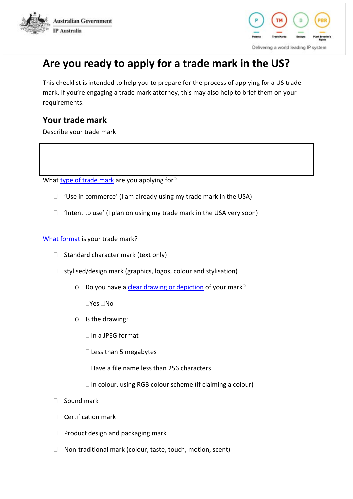



# **Are you ready to apply for a trade mark in the US?**

This checklist is intended to help you to prepare for the process of applying for a US trade mark. If you're engaging a trade mark attorney, this may also help to brief them on your requirements.

### **Your trade mark**

Describe your trade mark

What [type of trade mark](https://www.ipaustralia.gov.au/applying-trade-mark-us/US-trade-mark-basics) are you applying for?

- $\Box$  'Use in commerce' (I am already using my trade mark in the USA)
- $\Box$  'Intent to use' (I plan on using my trade mark in the USA very soon)

[What format](https://www.ipaustralia.gov.au/applying-trade-mark-us/preparing-your-application) is your trade mark?

- $\Box$  Standard character mark (text only)
- $\Box$  stylised/design mark (graphics, logos, colour and stylisation)
	- o Do you have a [clear drawing or depiction](https://www.uspto.gov/trademarks-getting-started/trademark-basics/mark-drawings-trademarks) of your mark?

 $\Box$ Yes  $\Box$ No

- o Is the drawing:
	- $\Box$  In a JPEG format
	- $\square$  Less than 5 megabytes
	- $\Box$  Have a file name less than 256 characters
	- $\Box$  In colour, using RGB colour scheme (if claiming a colour)
- $\Box$  Sound mark
- $\Box$  Certification mark
- $\Box$  Product design and packaging mark
- □ Non-traditional mark (colour, taste, touch, motion, scent)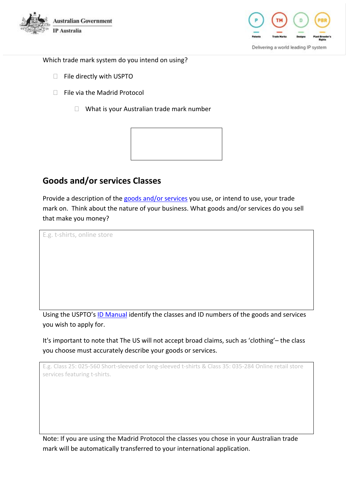



Which trade mark system do you intend on using?

- □ File directly with USPTO
- $\Box$  File via the Madrid Protocol
	- $\Box$  What is your Australian trade mark number



## **Goods and/or services Classes**

Provide a description of the [goods and/or services](https://www.ipaustralia.gov.au/applying-trade-mark-us/selecting-your-goods-and-services) you use, or intend to use, your trade mark on. Think about the nature of your business. What goods and/or services do you sell that make you money?

E.g. t-shirts, online store

Using the USPTO's [ID Manual](https://tmidm.uspto.gov/id-master-list-public.html) identify the classes and ID numbers of the goods and services you wish to apply for.

It's important to note that The US will not accept broad claims, such as 'clothing'– the class you choose must accurately describe your goods or services.

E.g. Class 25: 025-560 Short-sleeved or long-sleeved t-shirts & Class 35: 035-284 Online retail store services featuring t-shirts.

Note: If you are using the Madrid Protocol the classes you chose in your Australian trade mark will be automatically transferred to your international application.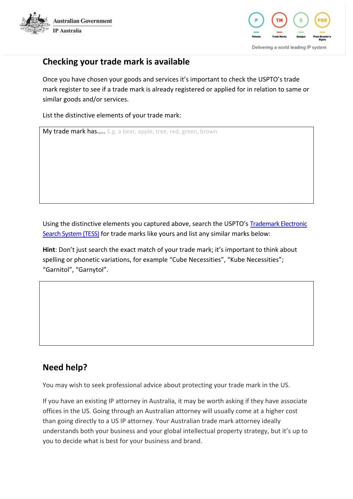



### **Checking your trade mark is available**

Once you have chosen your goods and services it's important to check the USPTO's trade mark register to see if a trade mark is already registered or applied for in relation to same or similar goods and/or services.

List the distinctive elements of your trade mark:

My trade mark has..... E.g. a bear, apple, tree, red, green, brown

Using the distinctive elements you captured above, search the USPTO's [Trademark Electronic](http://tmsearch.uspto.gov/bin/gate.exe?f=tess&state=4806:r65ohl.1.1)  [Search System \(TESS\)](http://tmsearch.uspto.gov/bin/gate.exe?f=tess&state=4806:r65ohl.1.1) for trade marks like yours and list any similar marks below:

**Hint**: Don't just search the exact match of your trade mark; it's important to think about spelling or phonetic variations, for example "Cube Necessities", "Kube Necessities"; "Garnitol", "Garnytol".

# **Need help?**

You may wish to seek professional advice about protecting your trade mark in the US.

If you have an existing IP attorney in Australia, it may be worth asking if they have associate offices in the US. Going through an Australian attorney will usually come at a higher cost than going directly to a US IP attorney. Your Australian trade mark attorney ideally understands both your business and your global intellectual property strategy, but it's up to you to decide what is best for your business and brand.